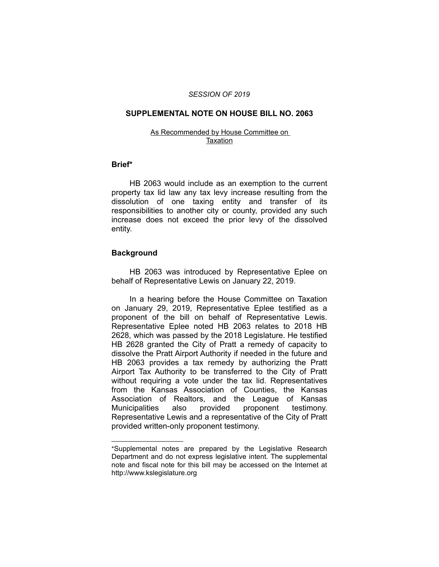# *SESSION OF 2019*

#### **SUPPLEMENTAL NOTE ON HOUSE BILL NO. 2063**

# As Recommended by House Committee on **Taxation**

# **Brief\***

HB 2063 would include as an exemption to the current property tax lid law any tax levy increase resulting from the dissolution of one taxing entity and transfer of its responsibilities to another city or county, provided any such increase does not exceed the prior levy of the dissolved entity.

# **Background**

 $\overline{\phantom{a}}$  , where  $\overline{\phantom{a}}$  , where  $\overline{\phantom{a}}$ 

HB 2063 was introduced by Representative Eplee on behalf of Representative Lewis on January 22, 2019.

In a hearing before the House Committee on Taxation on January 29, 2019, Representative Eplee testified as a proponent of the bill on behalf of Representative Lewis. Representative Eplee noted HB 2063 relates to 2018 HB 2628, which was passed by the 2018 Legislature. He testified HB 2628 granted the City of Pratt a remedy of capacity to dissolve the Pratt Airport Authority if needed in the future and HB 2063 provides a tax remedy by authorizing the Pratt Airport Tax Authority to be transferred to the City of Pratt without requiring a vote under the tax lid. Representatives from the Kansas Association of Counties, the Kansas Association of Realtors, and the League of Kansas Municipalities also provided proponent testimony. Representative Lewis and a representative of the City of Pratt provided written-only proponent testimony.

<sup>\*</sup>Supplemental notes are prepared by the Legislative Research Department and do not express legislative intent. The supplemental note and fiscal note for this bill may be accessed on the Internet at http://www.kslegislature.org